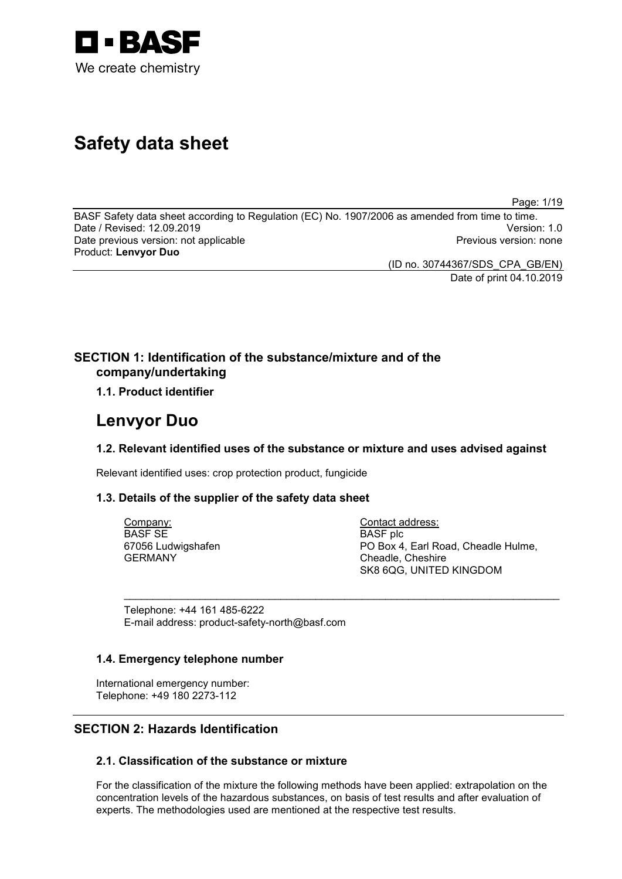

# **Safety data sheet**

Page: 1/19

BASF Safety data sheet according to Regulation (EC) No. 1907/2006 as amended from time to time. Date / Revised: 12.09.2019 Version: 1.0 Date previous version: not applicable Product: **Lenvyor Duo**

(ID no. 30744367/SDS\_CPA\_GB/EN) Date of print 04.10.2019

# **SECTION 1: Identification of the substance/mixture and of the company/undertaking**

# **1.1. Product identifier**

# **Lenvyor Duo**

# **1.2. Relevant identified uses of the substance or mixture and uses advised against**

\_\_\_\_\_\_\_\_\_\_\_\_\_\_\_\_\_\_\_\_\_\_\_\_\_\_\_\_\_\_\_\_\_\_\_\_\_\_\_\_\_\_\_\_\_\_\_\_\_\_\_\_\_\_\_\_\_\_\_\_\_\_\_\_\_\_\_\_\_\_\_\_\_\_\_

Relevant identified uses: crop protection product, fungicide

# **1.3. Details of the supplier of the safety data sheet**

Company: BASF SE 67056 Ludwigshafen GERMANY

Contact address: BASF plc PO Box 4, Earl Road, Cheadle Hulme, Cheadle, Cheshire SK8 6QG, UNITED KINGDOM

Telephone: +44 161 485-6222 E-mail address: product-safety-north@basf.com

# **1.4. Emergency telephone number**

International emergency number: Telephone: +49 180 2273-112

# **SECTION 2: Hazards Identification**

# **2.1. Classification of the substance or mixture**

For the classification of the mixture the following methods have been applied: extrapolation on the concentration levels of the hazardous substances, on basis of test results and after evaluation of experts. The methodologies used are mentioned at the respective test results.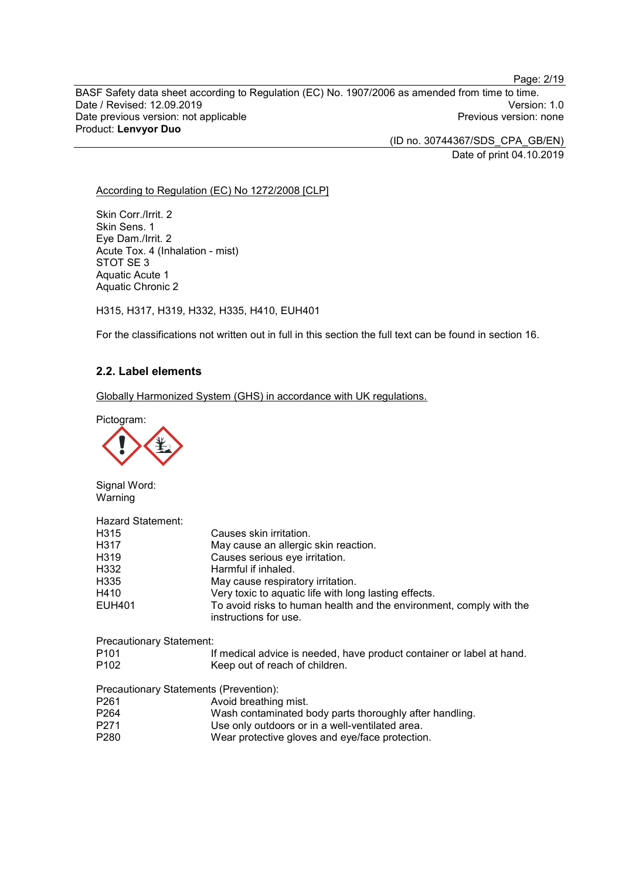BASF Safety data sheet according to Regulation (EC) No. 1907/2006 as amended from time to time. Date / Revised: 12.09.2019<br>
Date previous version: not applicable<br>
Date previous version: not applicable<br>
Date previous version: none Date previous version: not applicable Product: **Lenvyor Duo**

> (ID no. 30744367/SDS\_CPA\_GB/EN) Date of print 04.10.2019

### According to Regulation (EC) No 1272/2008 [CLP]

Skin Corr./Irrit. 2 Skin Sens. 1 Eye Dam./Irrit. 2 Acute Tox. 4 (Inhalation - mist) STOT SE 3 Aquatic Acute 1 Aquatic Chronic 2

H315, H317, H319, H332, H335, H410, EUH401

For the classifications not written out in full in this section the full text can be found in section 16.

# **2.2. Label elements**

Globally Harmonized System (GHS) in accordance with UK regulations.

Pictogram:



Signal Word: Warning

| Hazard Statement:                      |                                                                                              |
|----------------------------------------|----------------------------------------------------------------------------------------------|
| H315                                   | Causes skin irritation.                                                                      |
| H317                                   | May cause an allergic skin reaction.                                                         |
| H319                                   | Causes serious eye irritation.                                                               |
| H332                                   | Harmful if inhaled.                                                                          |
| H335                                   | May cause respiratory irritation.                                                            |
| H410                                   | Very toxic to aquatic life with long lasting effects.                                        |
| <b>EUH401</b>                          | To avoid risks to human health and the environment, comply with the<br>instructions for use. |
| <b>Precautionary Statement:</b>        |                                                                                              |
| P <sub>101</sub>                       | If medical advice is needed, have product container or label at hand.                        |
| P <sub>102</sub>                       | Keep out of reach of children.                                                               |
| Precautionary Statements (Prevention): |                                                                                              |
| P <sub>261</sub>                       | Avoid breathing mist.                                                                        |
| P <sub>264</sub>                       | Wash contaminated body parts thoroughly after handling.                                      |
| P271                                   | Use only outdoors or in a well-ventilated area.                                              |
| P <sub>280</sub>                       | Wear protective gloves and eye/face protection.                                              |

Page: 2/19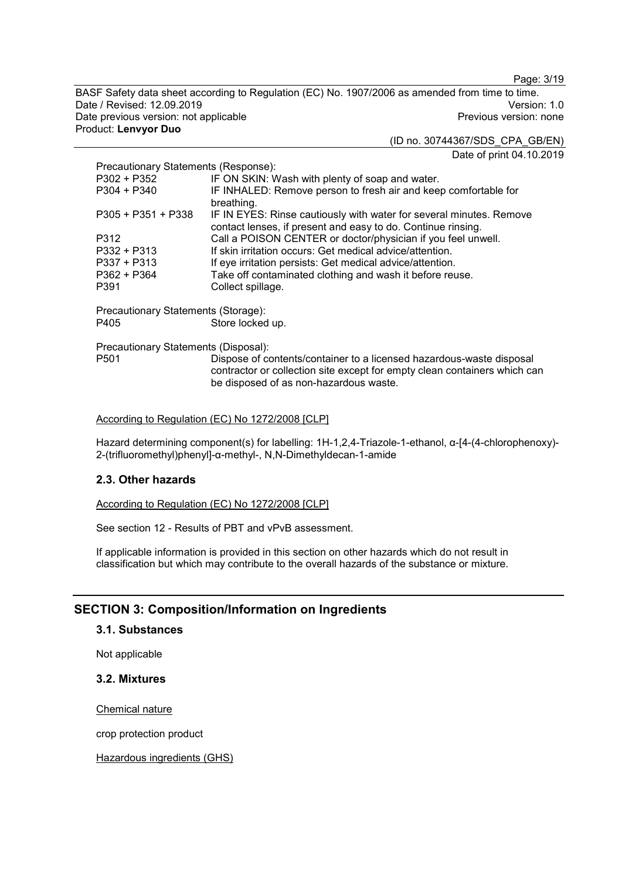Page: 3/19

BASF Safety data sheet according to Regulation (EC) No. 1907/2006 as amended from time to time. Date / Revised: 12.09.2019<br>
Date previous version: not applicable<br>
Date previous version: not applicable<br>
Date previous version: none Date previous version: not applicable Product: **Lenvyor Duo**

(ID no. 30744367/SDS\_CPA\_GB/EN)

Date of print 04.10.2019

| Precautionary Statements (Response): |                                                                                                                                                   |
|--------------------------------------|---------------------------------------------------------------------------------------------------------------------------------------------------|
| P302 + P352                          | IF ON SKIN: Wash with plenty of soap and water.                                                                                                   |
| $P304 + P340$                        | IF INHALED: Remove person to fresh air and keep comfortable for<br>breathing.                                                                     |
| $P305 + P351 + P338$                 | IF IN EYES: Rinse cautiously with water for several minutes. Remove<br>contact lenses, if present and easy to do. Continue rinsing.               |
| P312                                 | Call a POISON CENTER or doctor/physician if you feel unwell.                                                                                      |
| $P332 + P313$                        | If skin irritation occurs: Get medical advice/attention.                                                                                          |
| $P337 + P313$                        | If eye irritation persists: Get medical advice/attention.                                                                                         |
| $P362 + P364$                        | Take off contaminated clothing and wash it before reuse.                                                                                          |
| P391                                 | Collect spillage.                                                                                                                                 |
| Precautionary Statements (Storage):  |                                                                                                                                                   |
| P405                                 | Store locked up.                                                                                                                                  |
| Precautionary Statements (Disposal): |                                                                                                                                                   |
| P <sub>501</sub>                     | Dispose of contents/container to a licensed hazardous-waste disposal<br>contractor or collection site except for empty clean containers which can |

be disposed of as non-hazardous waste.

#### According to Regulation (EC) No 1272/2008 [CLP]

Hazard determining component(s) for labelling: 1H-1,2,4-Triazole-1-ethanol, α-[4-(4-chlorophenoxy)- 2-(trifluoromethyl)phenyl]-α-methyl-, N,N-Dimethyldecan-1-amide

### **2.3. Other hazards**

According to Regulation (EC) No 1272/2008 [CLP]

See section 12 - Results of PBT and vPvB assessment.

If applicable information is provided in this section on other hazards which do not result in classification but which may contribute to the overall hazards of the substance or mixture.

### **SECTION 3: Composition/Information on Ingredients**

### **3.1. Substances**

Not applicable

### **3.2. Mixtures**

Chemical nature

crop protection product

Hazardous ingredients (GHS)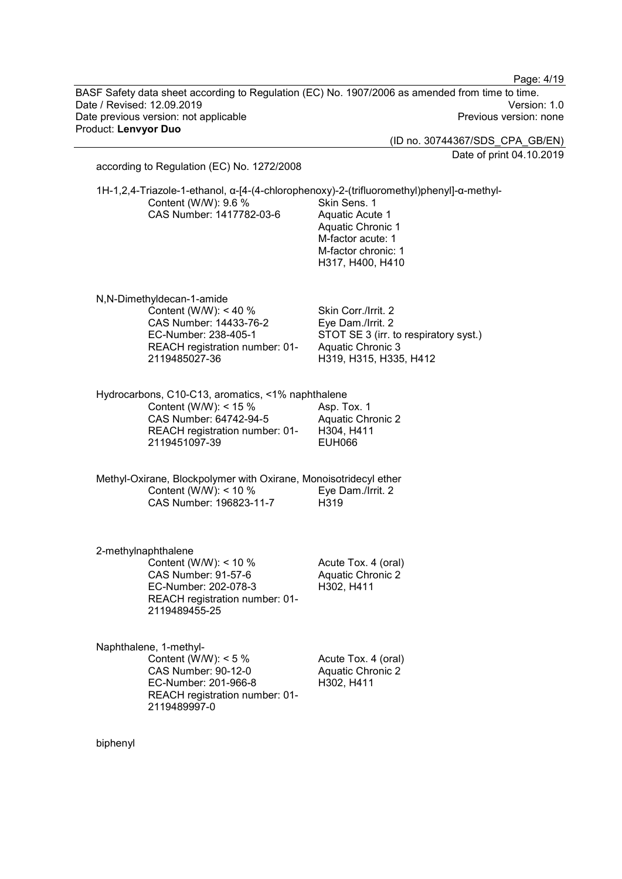|                                                                                                 | Page: 4/19                                                 |
|-------------------------------------------------------------------------------------------------|------------------------------------------------------------|
| BASF Safety data sheet according to Regulation (EC) No. 1907/2006 as amended from time to time. |                                                            |
| Date / Revised: 12.09.2019<br>Date previous version: not applicable                             | Version: 1.0<br>Previous version: none                     |
| Product: Lenvyor Duo                                                                            |                                                            |
|                                                                                                 | (ID no. 30744367/SDS_CPA_GB/EN)                            |
| according to Regulation (EC) No. 1272/2008                                                      | Date of print 04.10.2019                                   |
|                                                                                                 |                                                            |
| 1H-1,2,4-Triazole-1-ethanol, α-[4-(4-chlorophenoxy)-2-(trifluoromethyl)phenyl]-α-methyl-        |                                                            |
| Content (W/W): 9.6 %<br>CAS Number: 1417782-03-6                                                | Skin Sens. 1<br>Aquatic Acute 1                            |
|                                                                                                 | Aquatic Chronic 1                                          |
|                                                                                                 | M-factor acute: 1                                          |
|                                                                                                 | M-factor chronic: 1<br>H317, H400, H410                    |
|                                                                                                 |                                                            |
| N,N-Dimethyldecan-1-amide                                                                       |                                                            |
| Content (W/W): $<$ 40 %                                                                         | Skin Corr./Irrit. 2                                        |
| CAS Number: 14433-76-2                                                                          | Eye Dam./Irrit. 2                                          |
| EC-Number: 238-405-1<br>REACH registration number: 01-                                          | STOT SE 3 (irr. to respiratory syst.)<br>Aquatic Chronic 3 |
| 2119485027-36                                                                                   | H319, H315, H335, H412                                     |
|                                                                                                 |                                                            |
| Hydrocarbons, C10-C13, aromatics, <1% naphthalene                                               |                                                            |
| Content (W/W): $<$ 15 %                                                                         | Asp. Tox. 1                                                |
| CAS Number: 64742-94-5                                                                          | <b>Aquatic Chronic 2</b>                                   |
| REACH registration number: 01-<br>2119451097-39                                                 | H304, H411<br><b>EUH066</b>                                |
|                                                                                                 |                                                            |
| Methyl-Oxirane, Blockpolymer with Oxirane, Monoisotridecyl ether                                |                                                            |
| Content (W/W): $<$ 10 %                                                                         | Eye Dam./Irrit. 2                                          |
| CAS Number: 196823-11-7                                                                         | H319                                                       |
|                                                                                                 |                                                            |
|                                                                                                 |                                                            |
| 2-methylnaphthalene<br>Content (W/W): $<$ 10 %                                                  |                                                            |
| CAS Number: 91-57-6                                                                             | Acute Tox. 4 (oral)<br><b>Aquatic Chronic 2</b>            |
| EC-Number: 202-078-3                                                                            | H302, H411                                                 |
| REACH registration number: 01-                                                                  |                                                            |
| 2119489455-25                                                                                   |                                                            |
|                                                                                                 |                                                            |
| Naphthalene, 1-methyl-<br>Content (W/W): $<$ 5 %                                                | Acute Tox. 4 (oral)                                        |
| <b>CAS Number: 90-12-0</b>                                                                      | Aquatic Chronic 2                                          |
| EC-Number: 201-966-8                                                                            | H302, H411                                                 |
| REACH registration number: 01-<br>2119489997-0                                                  |                                                            |
|                                                                                                 |                                                            |

biphenyl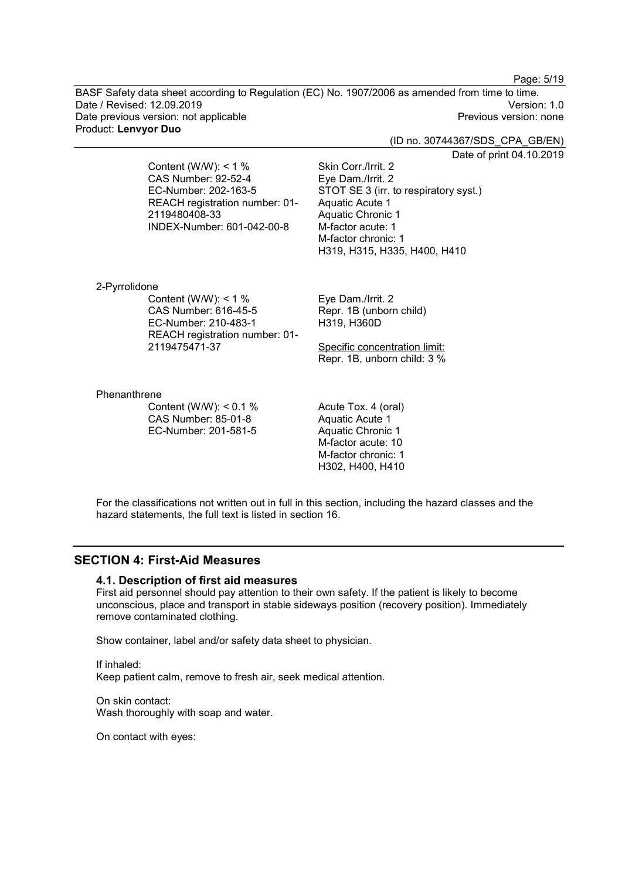Page: 5/19

BASF Safety data sheet according to Regulation (EC) No. 1907/2006 as amended from time to time. Date / Revised: 12.09.2019<br>Date previous version: not applicable  $\qquad$   $\qquad$   $\qquad$   $\qquad$  Previous version: none Date previous version: not applicable Product: **Lenvyor Duo**

(ID no. 30744367/SDS\_CPA\_GB/EN)

Date of print 04.10.2019

Content (W/W):  $< 1$  % CAS Number: 92-52-4 EC-Number: 202-163-5 REACH registration number: 01- 2119480408-33 INDEX-Number: 601-042-00-8

Aquatic Chronic 1 M-factor acute: 1 M-factor chronic: 1 H319, H315, H335, H400, H410

STOT SE 3 (irr. to respiratory syst.)

2-Pyrrolidone Content (W/W):  $< 1$  % CAS Number: 616-45-5 EC-Number: 210-483-1 REACH registration number: 01- 2119475471-37

Eye Dam./Irrit. 2 Repr. 1B (unborn child) H319, H360D

Skin Corr./Irrit. 2 Eye Dam./Irrit. 2

Aquatic Acute 1

Specific concentration limit: Repr. 1B, unborn child: 3 %

#### Phenanthrene

Content (W/W): < 0.1 % CAS Number: 85-01-8 EC-Number: 201-581-5

Acute Tox. 4 (oral) Aquatic Acute 1 Aquatic Chronic 1 M-factor acute: 10 M-factor chronic: 1 H302, H400, H410

For the classifications not written out in full in this section, including the hazard classes and the hazard statements, the full text is listed in section 16.

# **SECTION 4: First-Aid Measures**

### **4.1. Description of first aid measures**

First aid personnel should pay attention to their own safety. If the patient is likely to become unconscious, place and transport in stable sideways position (recovery position). Immediately remove contaminated clothing.

Show container, label and/or safety data sheet to physician.

If inhaled: Keep patient calm, remove to fresh air, seek medical attention.

On skin contact: Wash thoroughly with soap and water.

On contact with eyes: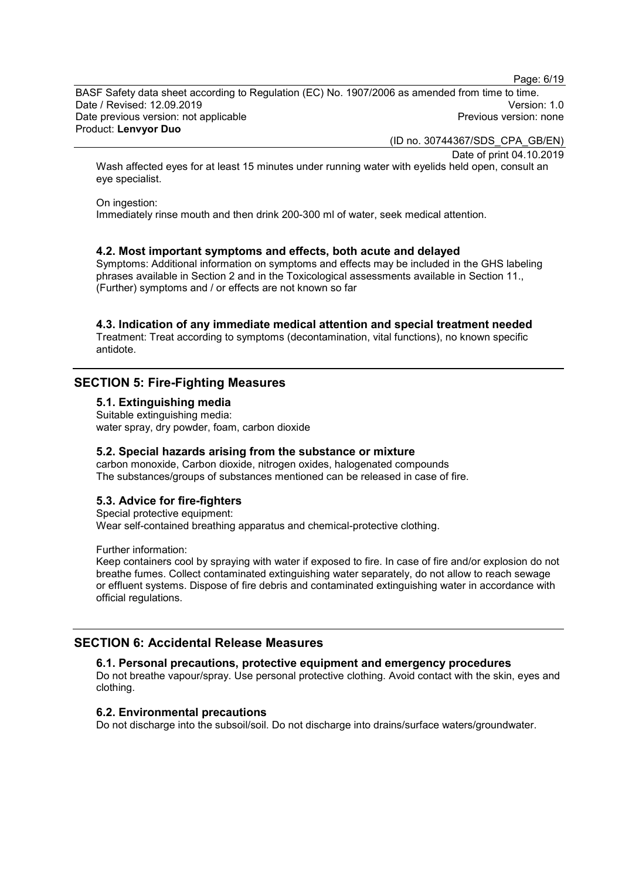Page: 6/19

BASF Safety data sheet according to Regulation (EC) No. 1907/2006 as amended from time to time. Date / Revised: 12.09.2019<br>Date previous version: not applicable  $\qquad$   $\qquad$   $\qquad$   $\qquad$  Previous version: none Date previous version: not applicable Product: **Lenvyor Duo**

(ID no. 30744367/SDS\_CPA\_GB/EN)

Date of print 04.10.2019

Wash affected eyes for at least 15 minutes under running water with eyelids held open, consult an eye specialist.

On ingestion:

Immediately rinse mouth and then drink 200-300 ml of water, seek medical attention.

### **4.2. Most important symptoms and effects, both acute and delayed**

Symptoms: Additional information on symptoms and effects may be included in the GHS labeling phrases available in Section 2 and in the Toxicological assessments available in Section 11., (Further) symptoms and / or effects are not known so far

### **4.3. Indication of any immediate medical attention and special treatment needed**

Treatment: Treat according to symptoms (decontamination, vital functions), no known specific antidote.

### **SECTION 5: Fire-Fighting Measures**

**5.1. Extinguishing media**

Suitable extinguishing media: water spray, dry powder, foam, carbon dioxide

### **5.2. Special hazards arising from the substance or mixture**

carbon monoxide, Carbon dioxide, nitrogen oxides, halogenated compounds The substances/groups of substances mentioned can be released in case of fire.

### **5.3. Advice for fire-fighters**

Special protective equipment: Wear self-contained breathing apparatus and chemical-protective clothing.

Further information:

Keep containers cool by spraying with water if exposed to fire. In case of fire and/or explosion do not breathe fumes. Collect contaminated extinguishing water separately, do not allow to reach sewage or effluent systems. Dispose of fire debris and contaminated extinguishing water in accordance with official regulations.

### **SECTION 6: Accidental Release Measures**

### **6.1. Personal precautions, protective equipment and emergency procedures**

Do not breathe vapour/spray. Use personal protective clothing. Avoid contact with the skin, eyes and clothing.

### **6.2. Environmental precautions**

Do not discharge into the subsoil/soil. Do not discharge into drains/surface waters/groundwater.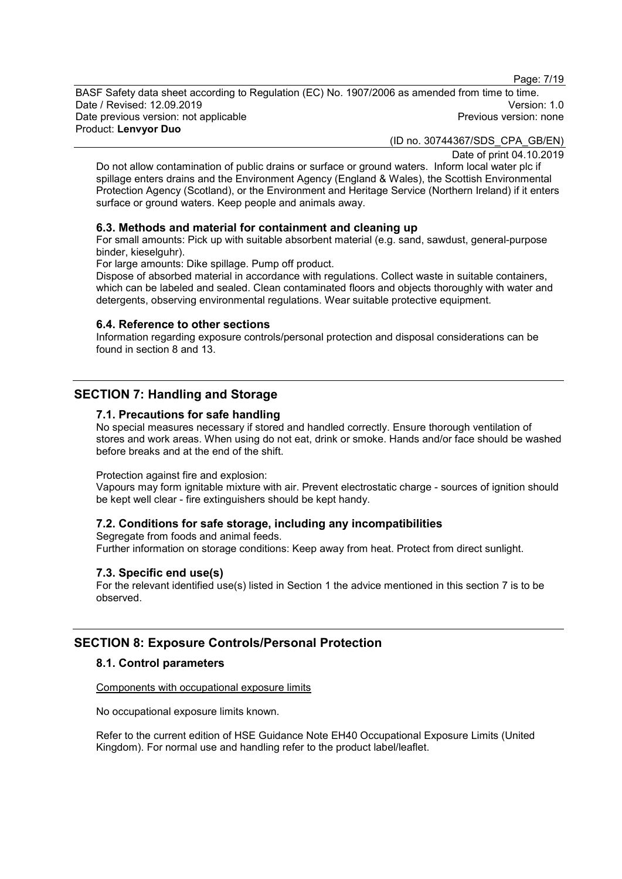Page: 7/19

BASF Safety data sheet according to Regulation (EC) No. 1907/2006 as amended from time to time. Date / Revised: 12.09.2019<br>Date previous version: not applicable  $\qquad$   $\qquad$   $\qquad$  Previous version: none Date previous version: not applicable Product: **Lenvyor Duo**

(ID no. 30744367/SDS\_CPA\_GB/EN)

Date of print 04.10.2019

Do not allow contamination of public drains or surface or ground waters. Inform local water plc if spillage enters drains and the Environment Agency (England & Wales), the Scottish Environmental Protection Agency (Scotland), or the Environment and Heritage Service (Northern Ireland) if it enters surface or ground waters. Keep people and animals away.

### **6.3. Methods and material for containment and cleaning up**

For small amounts: Pick up with suitable absorbent material (e.g. sand, sawdust, general-purpose binder, kieselguhr).

For large amounts: Dike spillage. Pump off product.

Dispose of absorbed material in accordance with regulations. Collect waste in suitable containers, which can be labeled and sealed. Clean contaminated floors and objects thoroughly with water and detergents, observing environmental regulations. Wear suitable protective equipment.

### **6.4. Reference to other sections**

Information regarding exposure controls/personal protection and disposal considerations can be found in section 8 and 13.

# **SECTION 7: Handling and Storage**

### **7.1. Precautions for safe handling**

No special measures necessary if stored and handled correctly. Ensure thorough ventilation of stores and work areas. When using do not eat, drink or smoke. Hands and/or face should be washed before breaks and at the end of the shift.

#### Protection against fire and explosion:

Vapours may form ignitable mixture with air. Prevent electrostatic charge - sources of ignition should be kept well clear - fire extinguishers should be kept handy.

### **7.2. Conditions for safe storage, including any incompatibilities**

Segregate from foods and animal feeds. Further information on storage conditions: Keep away from heat. Protect from direct sunlight.

### **7.3. Specific end use(s)**

For the relevant identified use(s) listed in Section 1 the advice mentioned in this section 7 is to be observed.

### **SECTION 8: Exposure Controls/Personal Protection**

### **8.1. Control parameters**

#### Components with occupational exposure limits

No occupational exposure limits known.

Refer to the current edition of HSE Guidance Note EH40 Occupational Exposure Limits (United Kingdom). For normal use and handling refer to the product label/leaflet.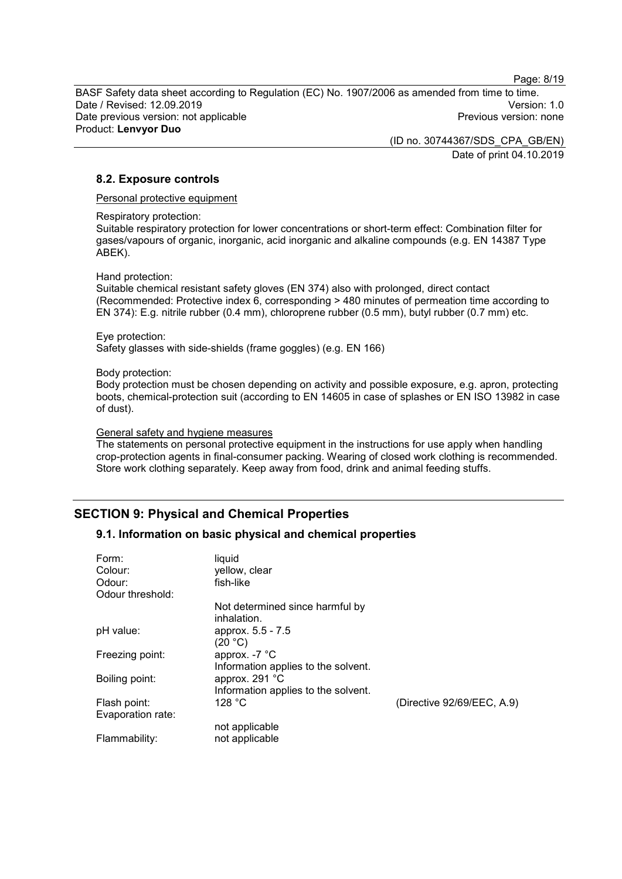Page: 8/19

BASF Safety data sheet according to Regulation (EC) No. 1907/2006 as amended from time to time. Date / Revised: 12.09.2019<br>Date previous version: not applicable  $\qquad$   $\qquad$   $\qquad$   $\qquad$  Previous version: none Date previous version: not applicable Product: **Lenvyor Duo**

> (ID no. 30744367/SDS\_CPA\_GB/EN) Date of print 04.10.2019

### **8.2. Exposure controls**

Personal protective equipment

Respiratory protection:

Suitable respiratory protection for lower concentrations or short-term effect: Combination filter for gases/vapours of organic, inorganic, acid inorganic and alkaline compounds (e.g. EN 14387 Type ABEK).

#### Hand protection:

Suitable chemical resistant safety gloves (EN 374) also with prolonged, direct contact (Recommended: Protective index 6, corresponding > 480 minutes of permeation time according to EN 374): E.g. nitrile rubber (0.4 mm), chloroprene rubber (0.5 mm), butyl rubber (0.7 mm) etc.

#### Eye protection:

Safety glasses with side-shields (frame goggles) (e.g. EN 166)

#### Body protection:

Body protection must be chosen depending on activity and possible exposure, e.g. apron, protecting boots, chemical-protection suit (according to EN 14605 in case of splashes or EN ISO 13982 in case of dust).

#### General safety and hygiene measures

The statements on personal protective equipment in the instructions for use apply when handling crop-protection agents in final-consumer packing. Wearing of closed work clothing is recommended. Store work clothing separately. Keep away from food, drink and animal feeding stuffs.

### **SECTION 9: Physical and Chemical Properties**

### **9.1. Information on basic physical and chemical properties**

| Form:             | liquid                              |                            |
|-------------------|-------------------------------------|----------------------------|
| Colour:           | yellow, clear                       |                            |
| Odour:            | fish-like                           |                            |
| Odour threshold:  |                                     |                            |
|                   | Not determined since harmful by     |                            |
|                   | inhalation.                         |                            |
| pH value:         | approx. 5.5 - 7.5                   |                            |
|                   | (20 °C)                             |                            |
| Freezing point:   | approx. -7 °C                       |                            |
|                   | Information applies to the solvent. |                            |
| Boiling point:    | approx. 291 °C                      |                            |
|                   | Information applies to the solvent. |                            |
| Flash point:      | 128 $^{\circ}$ C                    | (Directive 92/69/EEC, A.9) |
| Evaporation rate: |                                     |                            |
|                   | not applicable                      |                            |
| Flammability:     | not applicable                      |                            |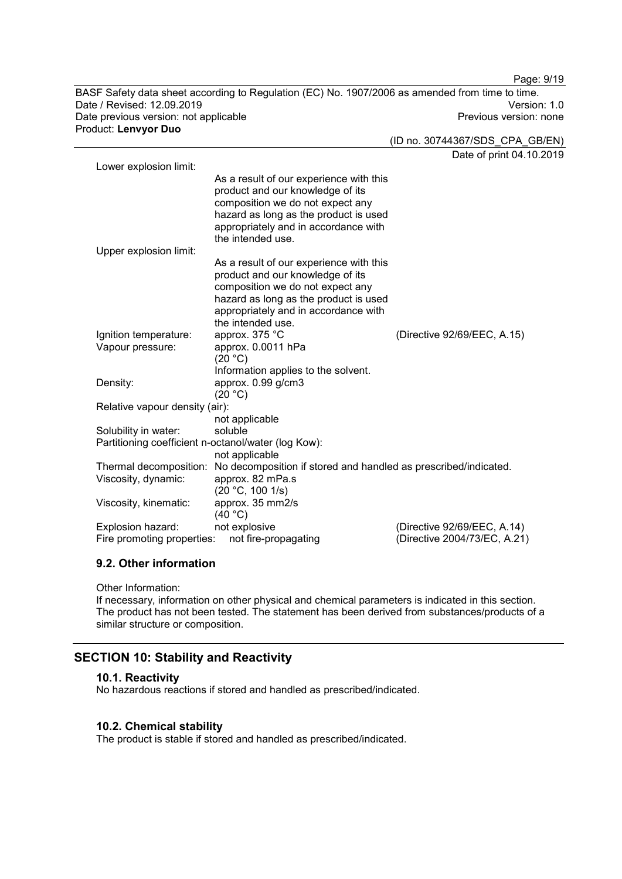BASF Safety data sheet according to Regulation (EC) No. 1907/2006 as amended from time to time. Date / Revised: 12.09.2019<br>
Date previous version: not applicable<br>
Date previous version: not applicable<br>
Date previous version: none Date previous version: not applicable Product: **Lenvyor Duo**

(ID no. 30744367/SDS\_CPA\_GB/EN)

Page: 9/19

|                                                     |                                                                                                                                                                                                                       | Date of print 04.10.2019     |
|-----------------------------------------------------|-----------------------------------------------------------------------------------------------------------------------------------------------------------------------------------------------------------------------|------------------------------|
| Lower explosion limit:                              |                                                                                                                                                                                                                       |                              |
|                                                     | As a result of our experience with this<br>product and our knowledge of its<br>composition we do not expect any<br>hazard as long as the product is used<br>appropriately and in accordance with<br>the intended use. |                              |
| Upper explosion limit:                              |                                                                                                                                                                                                                       |                              |
|                                                     | As a result of our experience with this<br>product and our knowledge of its<br>composition we do not expect any<br>hazard as long as the product is used<br>appropriately and in accordance with<br>the intended use. |                              |
| Ignition temperature:                               | approx. 375 °C                                                                                                                                                                                                        | (Directive 92/69/EEC, A.15)  |
| Vapour pressure:                                    | approx. 0.0011 hPa                                                                                                                                                                                                    |                              |
|                                                     | (20 °C)                                                                                                                                                                                                               |                              |
| Density:                                            | Information applies to the solvent.<br>approx. 0.99 g/cm3<br>(20 °C)                                                                                                                                                  |                              |
| Relative vapour density (air):                      |                                                                                                                                                                                                                       |                              |
|                                                     | not applicable                                                                                                                                                                                                        |                              |
| Solubility in water:                                | soluble                                                                                                                                                                                                               |                              |
| Partitioning coefficient n-octanol/water (log Kow): |                                                                                                                                                                                                                       |                              |
|                                                     | not applicable                                                                                                                                                                                                        |                              |
| Thermal decomposition:                              | No decomposition if stored and handled as prescribed/indicated.                                                                                                                                                       |                              |
| Viscosity, dynamic:                                 | approx. 82 mPa.s                                                                                                                                                                                                      |                              |
|                                                     | (20 °C, 100 1/s)                                                                                                                                                                                                      |                              |
| Viscosity, kinematic:                               | approx. 35 mm2/s                                                                                                                                                                                                      |                              |
|                                                     | (40 °C)                                                                                                                                                                                                               |                              |
| Explosion hazard:                                   | not explosive                                                                                                                                                                                                         | (Directive 92/69/EEC, A.14)  |
| Fire promoting properties:                          | not fire-propagating                                                                                                                                                                                                  | (Directive 2004/73/EC, A.21) |

### **9.2. Other information**

### Other Information:

If necessary, information on other physical and chemical parameters is indicated in this section. The product has not been tested. The statement has been derived from substances/products of a similar structure or composition.

# **SECTION 10: Stability and Reactivity**

### **10.1. Reactivity**

No hazardous reactions if stored and handled as prescribed/indicated.

### **10.2. Chemical stability**

The product is stable if stored and handled as prescribed/indicated.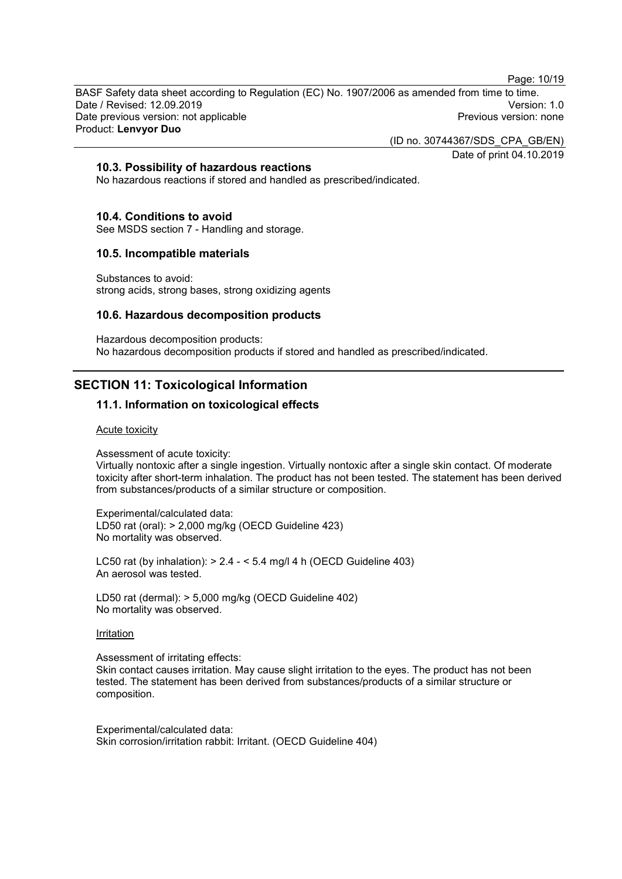Page: 10/19

BASF Safety data sheet according to Regulation (EC) No. 1907/2006 as amended from time to time. Date / Revised: 12.09.2019<br>Date previous version: not applicable  $\qquad$   $\qquad$   $\qquad$   $\qquad$  Previous version: none Date previous version: not applicable Product: **Lenvyor Duo**

(ID no. 30744367/SDS\_CPA\_GB/EN)

Date of print 04.10.2019

# **10.3. Possibility of hazardous reactions**

No hazardous reactions if stored and handled as prescribed/indicated.

### **10.4. Conditions to avoid**

See MSDS section 7 - Handling and storage.

### **10.5. Incompatible materials**

Substances to avoid: strong acids, strong bases, strong oxidizing agents

### **10.6. Hazardous decomposition products**

Hazardous decomposition products: No hazardous decomposition products if stored and handled as prescribed/indicated.

# **SECTION 11: Toxicological Information**

### **11.1. Information on toxicological effects**

#### Acute toxicity

Assessment of acute toxicity:

Virtually nontoxic after a single ingestion. Virtually nontoxic after a single skin contact. Of moderate toxicity after short-term inhalation. The product has not been tested. The statement has been derived from substances/products of a similar structure or composition.

Experimental/calculated data: LD50 rat (oral): > 2,000 mg/kg (OECD Guideline 423) No mortality was observed.

LC50 rat (by inhalation):  $> 2.4 - 5.4$  mg/l 4 h (OECD Guideline 403) An aerosol was tested.

LD50 rat (dermal): > 5,000 mg/kg (OECD Guideline 402) No mortality was observed.

#### **Irritation**

Assessment of irritating effects:

Skin contact causes irritation. May cause slight irritation to the eyes. The product has not been tested. The statement has been derived from substances/products of a similar structure or composition.

Experimental/calculated data: Skin corrosion/irritation rabbit: Irritant. (OECD Guideline 404)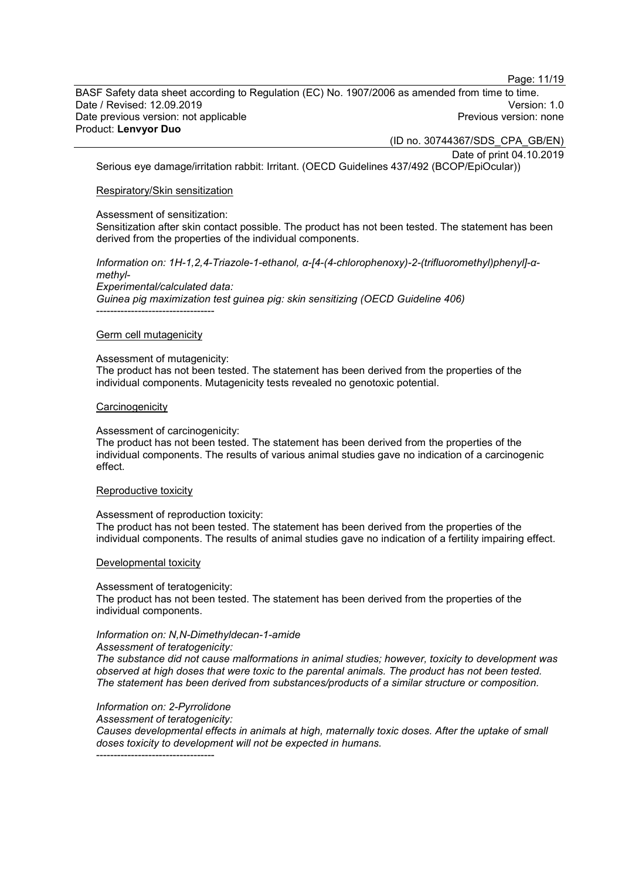Page: 11/19

BASF Safety data sheet according to Regulation (EC) No. 1907/2006 as amended from time to time. Date / Revised: 12.09.2019<br>Date previous version: not applicable and the set of the set of the set of the Previous version: none Date previous version: not applicable Product: **Lenvyor Duo**

(ID no. 30744367/SDS\_CPA\_GB/EN)

Date of print 04.10.2019

Serious eye damage/irritation rabbit: Irritant. (OECD Guidelines 437/492 (BCOP/EpiOcular))

#### Respiratory/Skin sensitization

#### Assessment of sensitization:

Sensitization after skin contact possible. The product has not been tested. The statement has been derived from the properties of the individual components.

*Information on: 1H-1,2,4-Triazole-1-ethanol, α-[4-(4-chlorophenoxy)-2-(trifluoromethyl)phenyl]-αmethyl-Experimental/calculated data: Guinea pig maximization test guinea pig: skin sensitizing (OECD Guideline 406)*

----------------------------------

### Germ cell mutagenicity

Assessment of mutagenicity:

The product has not been tested. The statement has been derived from the properties of the individual components. Mutagenicity tests revealed no genotoxic potential.

#### **Carcinogenicity**

Assessment of carcinogenicity:

The product has not been tested. The statement has been derived from the properties of the individual components. The results of various animal studies gave no indication of a carcinogenic effect.

#### Reproductive toxicity

Assessment of reproduction toxicity:

The product has not been tested. The statement has been derived from the properties of the individual components. The results of animal studies gave no indication of a fertility impairing effect.

#### Developmental toxicity

Assessment of teratogenicity: The product has not been tested. The statement has been derived from the properties of the individual components.

#### *Information on: N,N-Dimethyldecan-1-amide*

*Assessment of teratogenicity:*

*The substance did not cause malformations in animal studies; however, toxicity to development was observed at high doses that were toxic to the parental animals. The product has not been tested. The statement has been derived from substances/products of a similar structure or composition.*

### *Information on: 2-Pyrrolidone*

*Assessment of teratogenicity:*

*Causes developmental effects in animals at high, maternally toxic doses. After the uptake of small doses toxicity to development will not be expected in humans.*

----------------------------------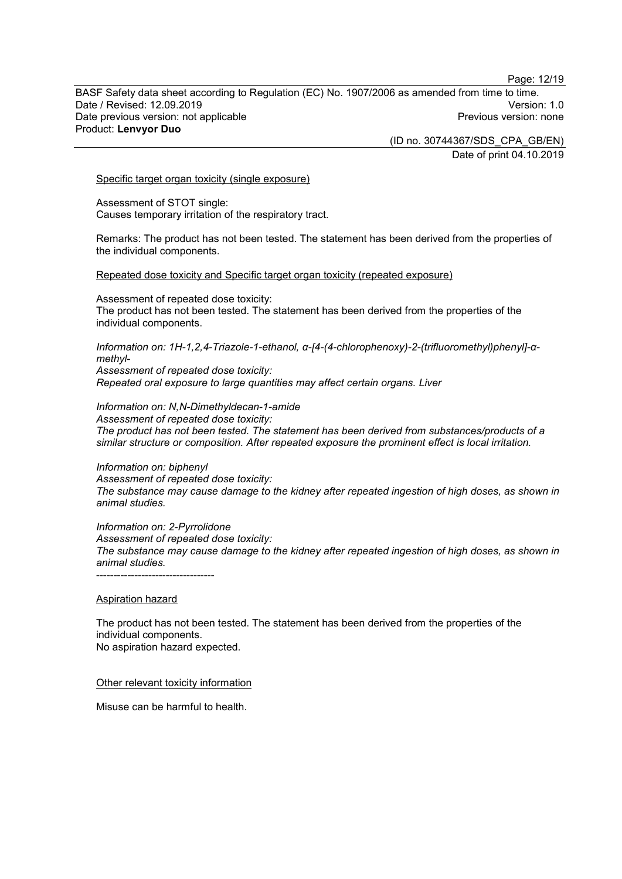BASF Safety data sheet according to Regulation (EC) No. 1907/2006 as amended from time to time. Date / Revised: 12.09.2019<br>Date previous version: not applicable  $\qquad$   $\qquad$   $\qquad$  Previous version: none Date previous version: not applicable Product: **Lenvyor Duo**

> (ID no. 30744367/SDS\_CPA\_GB/EN) Date of print 04.10.2019

Page: 12/19

Specific target organ toxicity (single exposure)

Assessment of STOT single: Causes temporary irritation of the respiratory tract.

Remarks: The product has not been tested. The statement has been derived from the properties of the individual components.

Repeated dose toxicity and Specific target organ toxicity (repeated exposure)

Assessment of repeated dose toxicity: The product has not been tested. The statement has been derived from the properties of the individual components.

*Information on: 1H-1,2,4-Triazole-1-ethanol, α-[4-(4-chlorophenoxy)-2-(trifluoromethyl)phenyl]-αmethyl-*

*Assessment of repeated dose toxicity: Repeated oral exposure to large quantities may affect certain organs. Liver*

*Information on: N,N-Dimethyldecan-1-amide Assessment of repeated dose toxicity: The product has not been tested. The statement has been derived from substances/products of a similar structure or composition. After repeated exposure the prominent effect is local irritation.*

*Information on: biphenyl Assessment of repeated dose toxicity: The substance may cause damage to the kidney after repeated ingestion of high doses, as shown in animal studies.*

*Information on: 2-Pyrrolidone Assessment of repeated dose toxicity: The substance may cause damage to the kidney after repeated ingestion of high doses, as shown in animal studies.* ----------------------------------

Aspiration hazard

The product has not been tested. The statement has been derived from the properties of the individual components. No aspiration hazard expected.

Other relevant toxicity information

Misuse can be harmful to health.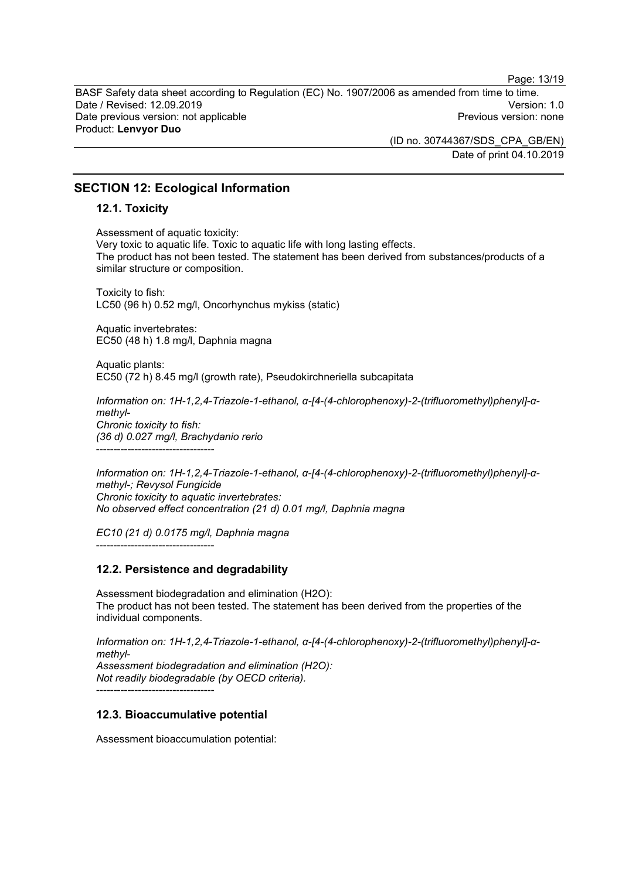Page: 13/19

BASF Safety data sheet according to Regulation (EC) No. 1907/2006 as amended from time to time. Date / Revised: 12.09.2019<br>Date previous version: not applicable  $\qquad$   $\qquad$   $\qquad$   $\qquad$  Previous version: none Date previous version: not applicable Product: **Lenvyor Duo**

> (ID no. 30744367/SDS\_CPA\_GB/EN) Date of print 04.10.2019

# **SECTION 12: Ecological Information**

### **12.1. Toxicity**

Assessment of aquatic toxicity: Very toxic to aquatic life. Toxic to aquatic life with long lasting effects. The product has not been tested. The statement has been derived from substances/products of a similar structure or composition.

Toxicity to fish: LC50 (96 h) 0.52 mg/l, Oncorhynchus mykiss (static)

Aquatic invertebrates: EC50 (48 h) 1.8 mg/l, Daphnia magna

Aquatic plants: EC50 (72 h) 8.45 mg/l (growth rate), Pseudokirchneriella subcapitata

*Information on: 1H-1,2,4-Triazole-1-ethanol, α-[4-(4-chlorophenoxy)-2-(trifluoromethyl)phenyl]-αmethyl-Chronic toxicity to fish: (36 d) 0.027 mg/l, Brachydanio rerio* ----------------------------------

*Information on: 1H-1,2,4-Triazole-1-ethanol, α-[4-(4-chlorophenoxy)-2-(trifluoromethyl)phenyl]-αmethyl-; Revysol Fungicide Chronic toxicity to aquatic invertebrates: No observed effect concentration (21 d) 0.01 mg/l, Daphnia magna*

*EC10 (21 d) 0.0175 mg/l, Daphnia magna*

----------------------------------

### **12.2. Persistence and degradability**

Assessment biodegradation and elimination (H2O): The product has not been tested. The statement has been derived from the properties of the individual components.

*Information on: 1H-1,2,4-Triazole-1-ethanol, α-[4-(4-chlorophenoxy)-2-(trifluoromethyl)phenyl]-αmethyl-Assessment biodegradation and elimination (H2O):*

*Not readily biodegradable (by OECD criteria).* ----------------------------------

### **12.3. Bioaccumulative potential**

Assessment bioaccumulation potential: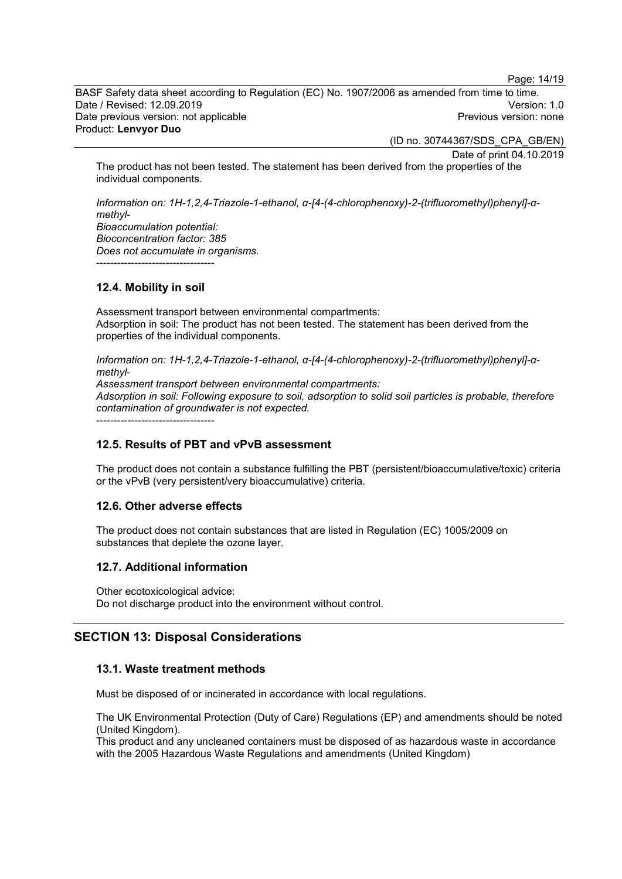Page: 14/19

BASF Safety data sheet according to Regulation (EC) No. 1907/2006 as amended from time to time. Date / Revised: 12.09.2019<br>Date previous version: not applicable and the set of the set of the set of the Previous version: none Date previous version: not applicable Product: **Lenvyor Duo**

(ID no. 30744367/SDS\_CPA\_GB/EN)

Date of print 04.10.2019

The product has not been tested. The statement has been derived from the properties of the individual components.

*Information on: 1H-1,2,4-Triazole-1-ethanol, α-[4-(4-chlorophenoxy)-2-(trifluoromethyl)phenyl]-αmethyl-Bioaccumulation potential: Bioconcentration factor: 385 Does not accumulate in organisms.* ----------------------------------

### **12.4. Mobility in soil**

Assessment transport between environmental compartments: Adsorption in soil: The product has not been tested. The statement has been derived from the properties of the individual components.

*Information on: 1H-1,2,4-Triazole-1-ethanol, α-[4-(4-chlorophenoxy)-2-(trifluoromethyl)phenyl]-αmethyl-*

*Assessment transport between environmental compartments: Adsorption in soil: Following exposure to soil, adsorption to solid soil particles is probable, therefore contamination of groundwater is not expected.*

----------------------------------

### **12.5. Results of PBT and vPvB assessment**

The product does not contain a substance fulfilling the PBT (persistent/bioaccumulative/toxic) criteria or the vPvB (very persistent/very bioaccumulative) criteria.

### **12.6. Other adverse effects**

The product does not contain substances that are listed in Regulation (EC) 1005/2009 on substances that deplete the ozone layer.

### **12.7. Additional information**

Other ecotoxicological advice: Do not discharge product into the environment without control.

# **SECTION 13: Disposal Considerations**

### **13.1. Waste treatment methods**

Must be disposed of or incinerated in accordance with local regulations.

The UK Environmental Protection (Duty of Care) Regulations (EP) and amendments should be noted (United Kingdom).

This product and any uncleaned containers must be disposed of as hazardous waste in accordance with the 2005 Hazardous Waste Regulations and amendments (United Kingdom)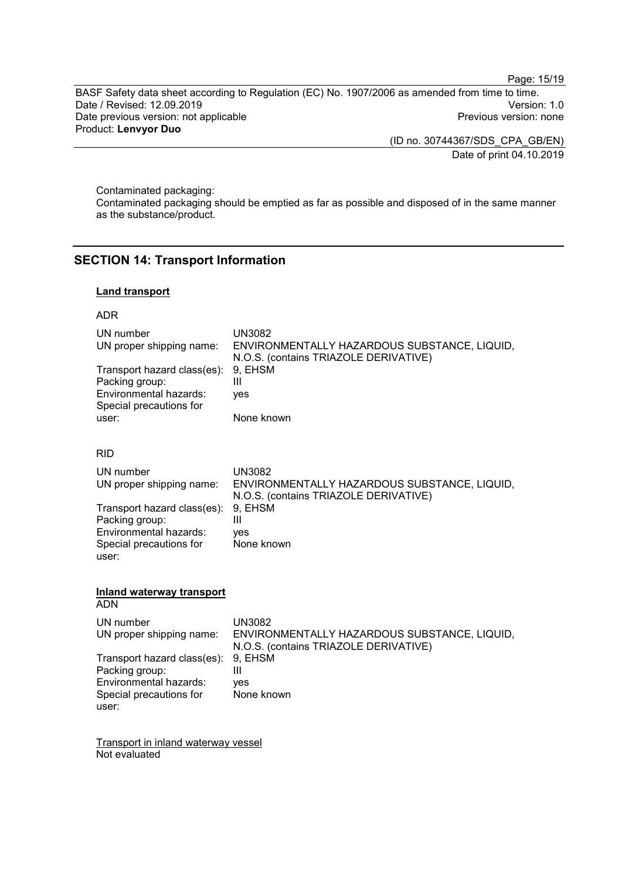Page: 15/19

BASF Safety data sheet according to Regulation (EC) No. 1907/2006 as amended from time to time. Date / Revised: 12.09.2019<br>
Date previous version: not applicable<br>
Date previous version: not applicable<br>
Date previous version: none Date previous version: not applicable Product: **Lenvyor Duo**

> (ID no. 30744367/SDS\_CPA\_GB/EN) Date of print 04.10.2019

Contaminated packaging: Contaminated packaging should be emptied as far as possible and disposed of in the same manner as the substance/product.

# **SECTION 14: Transport Information**

### **Land transport**

### ADR

| UN number                   | UN3082                                       |
|-----------------------------|----------------------------------------------|
| UN proper shipping name:    | ENVIRONMENTALLY HAZARDOUS SUBSTANCE, LIQUID, |
| Transport hazard class(es): | N.O.S. (contains TRIAZOLE DERIVATIVE)        |
| Packing group:              | 9, EHSM                                      |
| Environmental hazards:      | Ш                                            |
| Special precautions for     | yes                                          |
| user:                       | None known                                   |
| <b>RID</b>                  |                                              |
| UN number                   | <b>UN3082</b>                                |
| UN proper shipping name:    | ENVIRONMENTALLY HAZARDOUS SUBSTANCE, LIQUID, |
| Transport hazard class(es): | N.O.S. (contains TRIAZOLE DERIVATIVE)        |
| Packing group:              | 9, EHSM                                      |
| Environmental hazards:      | Ш                                            |
| Special precautions for     | yes                                          |
| user:                       | None known                                   |

#### **Inland waterway transport** ADN

| UN number<br>UN proper shipping name:                                                                               | UN3082<br>ENVIRONMENTALLY HAZARDOUS SUBSTANCE, LIQUID,<br>N.O.S. (contains TRIAZOLE DERIVATIVE) |
|---------------------------------------------------------------------------------------------------------------------|-------------------------------------------------------------------------------------------------|
| Transport hazard class(es): 9, EHSM<br>Packing group:<br>Environmental hazards:<br>Special precautions for<br>user: | Ш<br>ves<br>None known                                                                          |

Transport in inland waterway vessel Not evaluated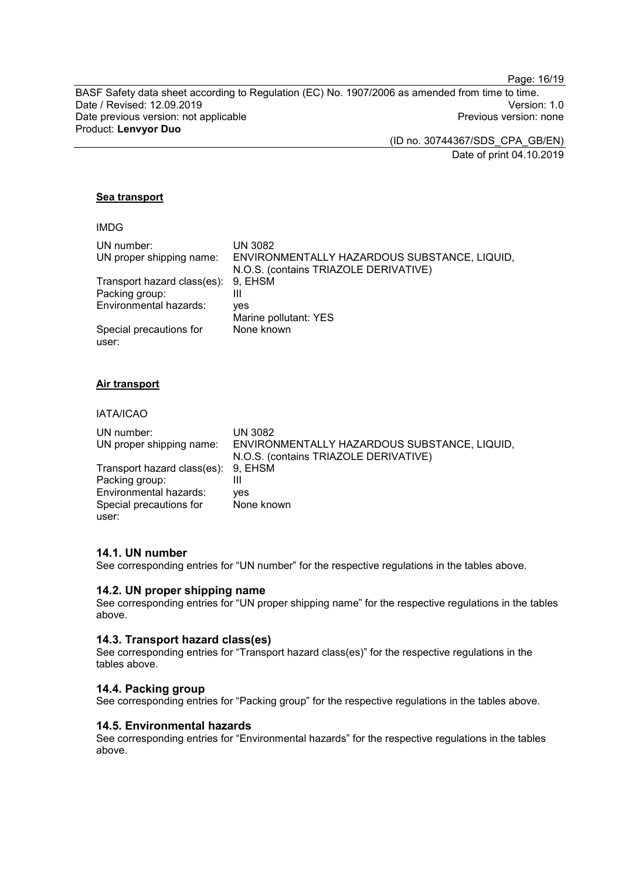Page: 16/19

BASF Safety data sheet according to Regulation (EC) No. 1907/2006 as amended from time to time. Date / Revised: 12.09.2019<br>
Date previous version: not applicable<br>
Date previous version: not applicable<br>
Date previous version: none Date previous version: not applicable Product: **Lenvyor Duo**

> (ID no. 30744367/SDS\_CPA\_GB/EN) Date of print 04.10.2019

### **Sea transport**

### IMDG

| UN number:<br>UN proper shipping name: | <b>UN 3082</b><br>ENVIRONMENTALLY HAZARDOUS SUBSTANCE, LIQUID,<br>N.O.S. (contains TRIAZOLE DERIVATIVE) |
|----------------------------------------|---------------------------------------------------------------------------------------------------------|
| Transport hazard class(es):            | 9. EHSM                                                                                                 |
| Packing group:                         | Ш                                                                                                       |
| Environmental hazards:                 | ves                                                                                                     |
|                                        | Marine pollutant: YES                                                                                   |
| Special precautions for<br>user:       | None known                                                                                              |

### **Air transport**

### IATA/ICAO

| UN number:<br>UN proper shipping name:                | <b>UN 3082</b><br>ENVIRONMENTALLY HAZARDOUS SUBSTANCE, LIQUID,<br>N.O.S. (contains TRIAZOLE DERIVATIVE) |
|-------------------------------------------------------|---------------------------------------------------------------------------------------------------------|
| Transport hazard class(es): 9, EHSM<br>Packing group: | Ш                                                                                                       |
| Environmental hazards:                                | ves                                                                                                     |
| Special precautions for<br>user:                      | None known                                                                                              |

### **14.1. UN number**

See corresponding entries for "UN number" for the respective regulations in the tables above.

### **14.2. UN proper shipping name**

See corresponding entries for "UN proper shipping name" for the respective regulations in the tables above.

### **14.3. Transport hazard class(es)**

See corresponding entries for "Transport hazard class(es)" for the respective regulations in the tables above.

### **14.4. Packing group**

See corresponding entries for "Packing group" for the respective regulations in the tables above.

### **14.5. Environmental hazards**

See corresponding entries for "Environmental hazards" for the respective regulations in the tables above.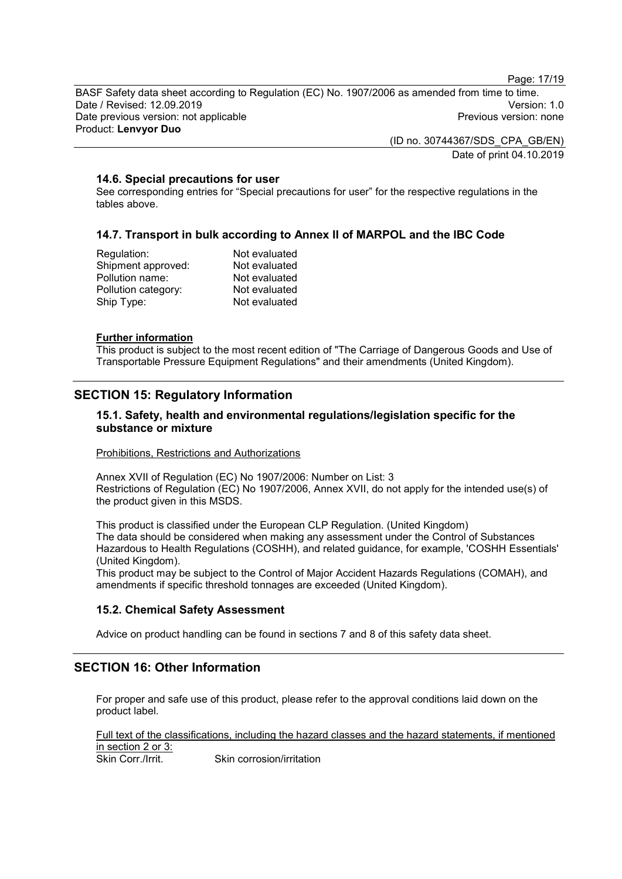Page: 17/19

BASF Safety data sheet according to Regulation (EC) No. 1907/2006 as amended from time to time. Date / Revised: 12.09.2019<br>Date previous version: not applicable  $\qquad$  and  $\qquad$   $\qquad$  Previous version: none Date previous version: not applicable Product: **Lenvyor Duo**

> (ID no. 30744367/SDS\_CPA\_GB/EN) Date of print 04.10.2019

### **14.6. Special precautions for user**

See corresponding entries for "Special precautions for user" for the respective regulations in the tables above.

### **14.7. Transport in bulk according to Annex II of MARPOL and the IBC Code**

| Regulation:         | Not evaluated |
|---------------------|---------------|
| Shipment approved:  | Not evaluated |
| Pollution name:     | Not evaluated |
| Pollution category: | Not evaluated |
| Ship Type:          | Not evaluated |
|                     |               |

### **Further information**

This product is subject to the most recent edition of "The Carriage of Dangerous Goods and Use of Transportable Pressure Equipment Regulations" and their amendments (United Kingdom).

# **SECTION 15: Regulatory Information**

### **15.1. Safety, health and environmental regulations/legislation specific for the substance or mixture**

### Prohibitions, Restrictions and Authorizations

Annex XVII of Regulation (EC) No 1907/2006: Number on List: 3 Restrictions of Regulation (EC) No 1907/2006, Annex XVII, do not apply for the intended use(s) of the product given in this MSDS.

This product is classified under the European CLP Regulation. (United Kingdom) The data should be considered when making any assessment under the Control of Substances Hazardous to Health Regulations (COSHH), and related guidance, for example, 'COSHH Essentials' (United Kingdom).

This product may be subject to the Control of Major Accident Hazards Regulations (COMAH), and amendments if specific threshold tonnages are exceeded (United Kingdom).

### **15.2. Chemical Safety Assessment**

Advice on product handling can be found in sections 7 and 8 of this safety data sheet.

# **SECTION 16: Other Information**

For proper and safe use of this product, please refer to the approval conditions laid down on the product label.

Full text of the classifications, including the hazard classes and the hazard statements, if mentioned in section 2 or 3:<br>Skin Corr./Irrit. Skin corrosion/irritation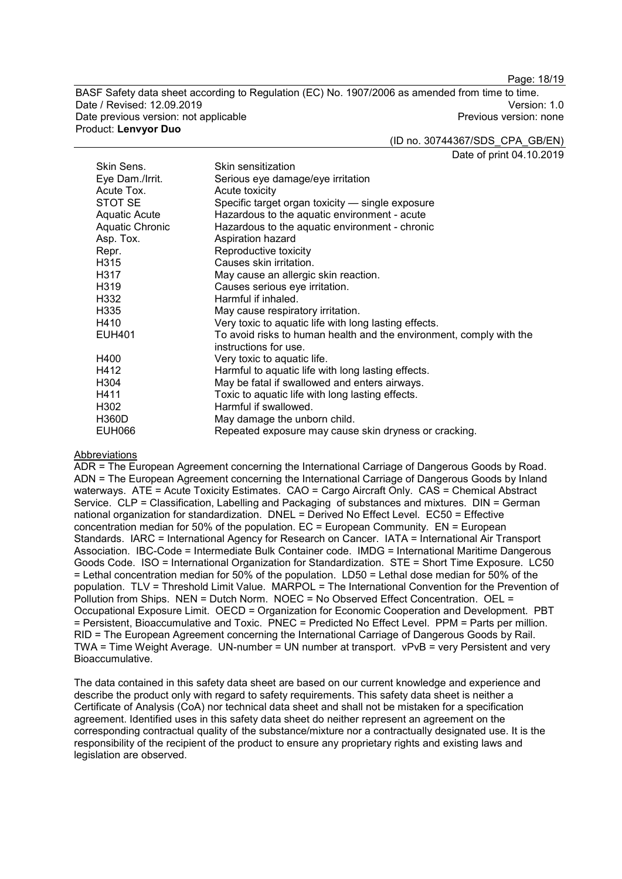Page: 18/19

BASF Safety data sheet according to Regulation (EC) No. 1907/2006 as amended from time to time. Date / Revised: 12.09.2019 Version: 1.0 Date previous version: not applicable Product: **Lenvyor Duo**

(ID no. 30744367/SDS\_CPA\_GB/EN)

Date of print 04.10.2019

| Skin Sens.           | Skin sensitization                                                  |
|----------------------|---------------------------------------------------------------------|
| Eye Dam./Irrit.      | Serious eye damage/eye irritation                                   |
| Acute Tox.           | Acute toxicity                                                      |
| STOT SE              | Specific target organ toxicity - single exposure                    |
| <b>Aquatic Acute</b> | Hazardous to the aquatic environment - acute                        |
| Aquatic Chronic      | Hazardous to the aquatic environment - chronic                      |
| Asp. Tox.            | Aspiration hazard                                                   |
| Repr.                | Reproductive toxicity                                               |
| H315                 | Causes skin irritation.                                             |
| H317                 | May cause an allergic skin reaction.                                |
| H319                 | Causes serious eye irritation.                                      |
| H332                 | Harmful if inhaled.                                                 |
| H <sub>335</sub>     | May cause respiratory irritation.                                   |
| H410                 | Very toxic to aquatic life with long lasting effects.               |
| <b>EUH401</b>        | To avoid risks to human health and the environment, comply with the |
|                      | instructions for use.                                               |
| H400                 | Very toxic to aquatic life.                                         |
| H412                 | Harmful to aquatic life with long lasting effects.                  |
| H <sub>304</sub>     | May be fatal if swallowed and enters airways.                       |
| H411                 | Toxic to aquatic life with long lasting effects.                    |
| H <sub>302</sub>     | Harmful if swallowed.                                               |
| <b>H360D</b>         | May damage the unborn child.                                        |
| <b>EUH066</b>        | Repeated exposure may cause skin dryness or cracking.               |

#### **Abbreviations**

ADR = The European Agreement concerning the International Carriage of Dangerous Goods by Road. ADN = The European Agreement concerning the International Carriage of Dangerous Goods by Inland waterways. ATE = Acute Toxicity Estimates. CAO = Cargo Aircraft Only. CAS = Chemical Abstract Service. CLP = Classification, Labelling and Packaging of substances and mixtures. DIN = German national organization for standardization. DNEL = Derived No Effect Level. EC50 = Effective concentration median for 50% of the population.  $EC = European$  Community.  $EN = European$ Standards. IARC = International Agency for Research on Cancer. IATA = International Air Transport Association. IBC-Code = Intermediate Bulk Container code. IMDG = International Maritime Dangerous Goods Code. ISO = International Organization for Standardization. STE = Short Time Exposure. LC50 = Lethal concentration median for 50% of the population. LD50 = Lethal dose median for 50% of the population. TLV = Threshold Limit Value. MARPOL = The International Convention for the Prevention of Pollution from Ships. NEN = Dutch Norm. NOEC = No Observed Effect Concentration. OEL = Occupational Exposure Limit. OECD = Organization for Economic Cooperation and Development. PBT = Persistent, Bioaccumulative and Toxic. PNEC = Predicted No Effect Level. PPM = Parts per million. RID = The European Agreement concerning the International Carriage of Dangerous Goods by Rail. TWA = Time Weight Average. UN-number = UN number at transport. vPvB = very Persistent and very Bioaccumulative.

The data contained in this safety data sheet are based on our current knowledge and experience and describe the product only with regard to safety requirements. This safety data sheet is neither a Certificate of Analysis (CoA) nor technical data sheet and shall not be mistaken for a specification agreement. Identified uses in this safety data sheet do neither represent an agreement on the corresponding contractual quality of the substance/mixture nor a contractually designated use. It is the responsibility of the recipient of the product to ensure any proprietary rights and existing laws and legislation are observed.